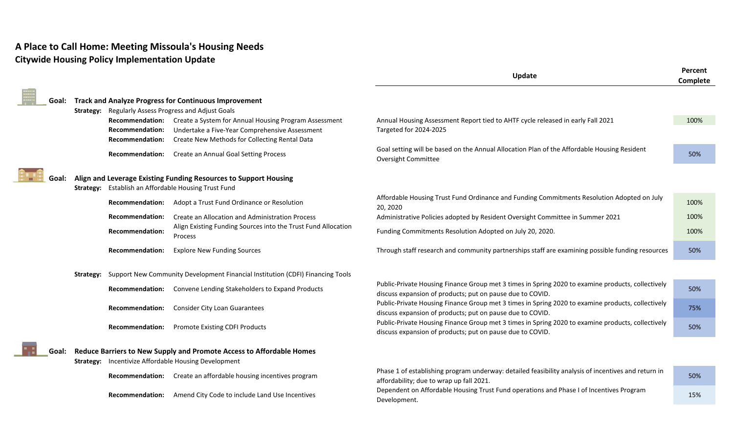## **A Place to Call Home: Meeting Missoula's Housing Needs Citywide Housing Policy Implementation Update**

÷

|       |           |                                                                            |                                                                                                                                                          | Update                                                                                                                                                         | Percent<br>Complete |
|-------|-----------|----------------------------------------------------------------------------|----------------------------------------------------------------------------------------------------------------------------------------------------------|----------------------------------------------------------------------------------------------------------------------------------------------------------------|---------------------|
| Goal: |           |                                                                            | <b>Track and Analyze Progress for Continuous Improvement</b><br><b>Strategy:</b> Regularly Assess Progress and Adjust Goals                              |                                                                                                                                                                |                     |
|       |           | <b>Recommendation:</b><br><b>Recommendation:</b><br><b>Recommendation:</b> | Create a System for Annual Housing Program Assessment<br>Undertake a Five-Year Comprehensive Assessment<br>Create New Methods for Collecting Rental Data | Annual Housing Assessment Report tied to AHTF cycle released in early Fall 2021<br>Targeted for 2024-2025                                                      | 100%                |
|       |           | Recommendation:                                                            | Create an Annual Goal Setting Process                                                                                                                    | Goal setting will be based on the Annual Allocation Plan of the Affordable Housing Resident<br><b>Oversight Committee</b>                                      | 50%                 |
| Goal: |           |                                                                            | Align and Leverage Existing Funding Resources to Support Housing<br>Strategy: Establish an Affordable Housing Trust Fund                                 |                                                                                                                                                                |                     |
|       |           | <b>Recommendation:</b>                                                     | Adopt a Trust Fund Ordinance or Resolution                                                                                                               | Affordable Housing Trust Fund Ordinance and Funding Commitments Resolution Adopted on July<br>20, 2020                                                         | 100%                |
|       |           | <b>Recommendation:</b>                                                     | Create an Allocation and Administration Process                                                                                                          | Administrative Policies adopted by Resident Oversight Committee in Summer 2021                                                                                 | 100%                |
|       |           | <b>Recommendation:</b>                                                     | Align Existing Funding Sources into the Trust Fund Allocation<br>Process                                                                                 | Funding Commitments Resolution Adopted on July 20, 2020.                                                                                                       | 100%                |
|       |           | <b>Recommendation:</b>                                                     | <b>Explore New Funding Sources</b>                                                                                                                       | Through staff research and community partnerships staff are examining possible funding resources                                                               | 50%                 |
|       | Strategy: |                                                                            | Support New Community Development Financial Institution (CDFI) Financing Tools                                                                           |                                                                                                                                                                |                     |
|       |           | <b>Recommendation:</b>                                                     | Convene Lending Stakeholders to Expand Products                                                                                                          | Public-Private Housing Finance Group met 3 times in Spring 2020 to examine products, collectively<br>discuss expansion of products; put on pause due to COVID. | 50%                 |
|       |           | <b>Recommendation:</b>                                                     | <b>Consider City Loan Guarantees</b>                                                                                                                     | Public-Private Housing Finance Group met 3 times in Spring 2020 to examine products, collectively<br>discuss expansion of products; put on pause due to COVID. | 75%                 |
|       |           | <b>Recommendation:</b>                                                     | <b>Promote Existing CDFI Products</b>                                                                                                                    | Public-Private Housing Finance Group met 3 times in Spring 2020 to examine products, collectively<br>discuss expansion of products; put on pause due to COVID. | 50%                 |
| Goal: |           |                                                                            | Reduce Barriers to New Supply and Promote Access to Affordable Homes<br><b>Strategy:</b> Incentivize Affordable Housing Development                      |                                                                                                                                                                |                     |
|       |           | <b>Recommendation:</b>                                                     | Create an affordable housing incentives program                                                                                                          | Phase 1 of establishing program underway: detailed feasibility analysis of incentives and return in<br>affordability; due to wrap up fall 2021.                | 50%                 |
|       |           | Recommendation:                                                            | Amend City Code to include Land Use Incentives                                                                                                           | Dependent on Affordable Housing Trust Fund operations and Phase I of Incentives Program<br>Development.                                                        | 15%                 |
|       |           |                                                                            |                                                                                                                                                          |                                                                                                                                                                |                     |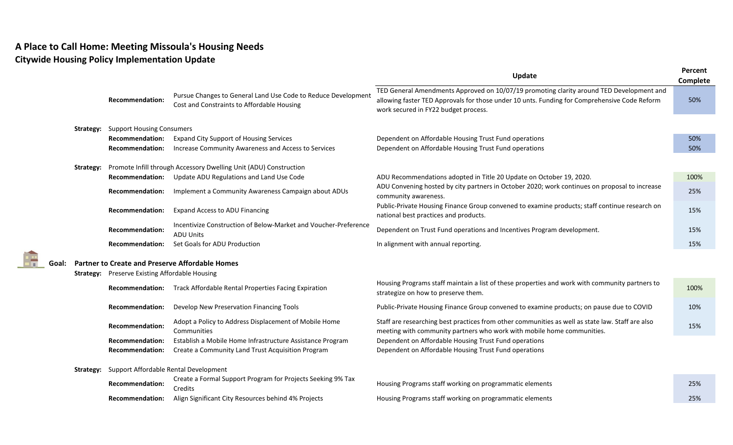## **A Place to Call Home: Meeting Missoula's Housing Needs Citywide Housing Policy Implementation Update**

18

|       |                  |                                                                   |                                                                                                             | Update                                                                                                                                                                                                                           | Percent<br>Complete |  |  |  |
|-------|------------------|-------------------------------------------------------------------|-------------------------------------------------------------------------------------------------------------|----------------------------------------------------------------------------------------------------------------------------------------------------------------------------------------------------------------------------------|---------------------|--|--|--|
|       |                  | <b>Recommendation:</b>                                            | Pursue Changes to General Land Use Code to Reduce Development<br>Cost and Constraints to Affordable Housing | TED General Amendments Approved on 10/07/19 promoting clarity around TED Development and<br>allowing faster TED Approvals for those under 10 unts. Funding for Comprehensive Code Reform<br>work secured in FY22 budget process. | 50%                 |  |  |  |
|       | <b>Strategy:</b> | <b>Support Housing Consumers</b>                                  |                                                                                                             |                                                                                                                                                                                                                                  |                     |  |  |  |
|       |                  | <b>Recommendation:</b>                                            | <b>Expand City Support of Housing Services</b>                                                              | Dependent on Affordable Housing Trust Fund operations                                                                                                                                                                            | 50%                 |  |  |  |
|       |                  | <b>Recommendation:</b>                                            | Increase Community Awareness and Access to Services                                                         | Dependent on Affordable Housing Trust Fund operations                                                                                                                                                                            | 50%                 |  |  |  |
|       |                  |                                                                   |                                                                                                             |                                                                                                                                                                                                                                  |                     |  |  |  |
|       | Strategy:        | Promote Infill through Accessory Dwelling Unit (ADU) Construction |                                                                                                             |                                                                                                                                                                                                                                  |                     |  |  |  |
|       |                  | <b>Recommendation:</b>                                            | Update ADU Regulations and Land Use Code                                                                    | ADU Recommendations adopted in Title 20 Update on October 19, 2020.                                                                                                                                                              | 100%                |  |  |  |
|       |                  | <b>Recommendation:</b>                                            | Implement a Community Awareness Campaign about ADUs                                                         | ADU Convening hosted by city partners in October 2020; work continues on proposal to increase<br>community awareness.                                                                                                            | 25%                 |  |  |  |
|       |                  | <b>Recommendation:</b>                                            | <b>Expand Access to ADU Financing</b>                                                                       | Public-Private Housing Finance Group convened to examine products; staff continue research on<br>national best practices and products.                                                                                           | 15%                 |  |  |  |
|       |                  | <b>Recommendation:</b>                                            | Incentivize Construction of Below-Market and Voucher-Preference<br><b>ADU Units</b>                         | Dependent on Trust Fund operations and Incentives Program development.                                                                                                                                                           | 15%                 |  |  |  |
|       |                  | <b>Recommendation:</b>                                            | Set Goals for ADU Production                                                                                | In alignment with annual reporting.                                                                                                                                                                                              | 15%                 |  |  |  |
|       |                  |                                                                   |                                                                                                             |                                                                                                                                                                                                                                  |                     |  |  |  |
| Goal: |                  | <b>Partner to Create and Preserve Affordable Homes</b>            |                                                                                                             |                                                                                                                                                                                                                                  |                     |  |  |  |
|       |                  | <b>Strategy:</b> Preserve Existing Affordable Housing             |                                                                                                             |                                                                                                                                                                                                                                  |                     |  |  |  |
|       |                  |                                                                   | Recommendation: Track Affordable Rental Properties Facing Expiration                                        | Housing Programs staff maintain a list of these properties and work with community partners to<br>strategize on how to preserve them.                                                                                            | 100%                |  |  |  |
|       |                  | <b>Recommendation:</b>                                            | Develop New Preservation Financing Tools                                                                    | Public-Private Housing Finance Group convened to examine products; on pause due to COVID                                                                                                                                         | 10%                 |  |  |  |
|       |                  | <b>Recommendation:</b>                                            | Adopt a Policy to Address Displacement of Mobile Home<br>Communities                                        | Staff are researching best practices from other communities as well as state law. Staff are also<br>meeting with community partners who work with mobile home communities.                                                       | 15%                 |  |  |  |
|       |                  | <b>Recommendation:</b>                                            | Establish a Mobile Home Infrastructure Assistance Program                                                   | Dependent on Affordable Housing Trust Fund operations                                                                                                                                                                            |                     |  |  |  |
|       |                  | <b>Recommendation:</b>                                            | Create a Community Land Trust Acquisition Program                                                           | Dependent on Affordable Housing Trust Fund operations                                                                                                                                                                            |                     |  |  |  |
|       | Strategy:        | Support Affordable Rental Development                             |                                                                                                             |                                                                                                                                                                                                                                  |                     |  |  |  |
|       |                  |                                                                   | Create a Formal Support Program for Projects Seeking 9% Tax                                                 |                                                                                                                                                                                                                                  |                     |  |  |  |
|       |                  | <b>Recommendation:</b>                                            | Credits                                                                                                     | Housing Programs staff working on programmatic elements                                                                                                                                                                          | 25%                 |  |  |  |
|       |                  | <b>Recommendation:</b>                                            | Align Significant City Resources behind 4% Projects                                                         | Housing Programs staff working on programmatic elements                                                                                                                                                                          | 25%                 |  |  |  |